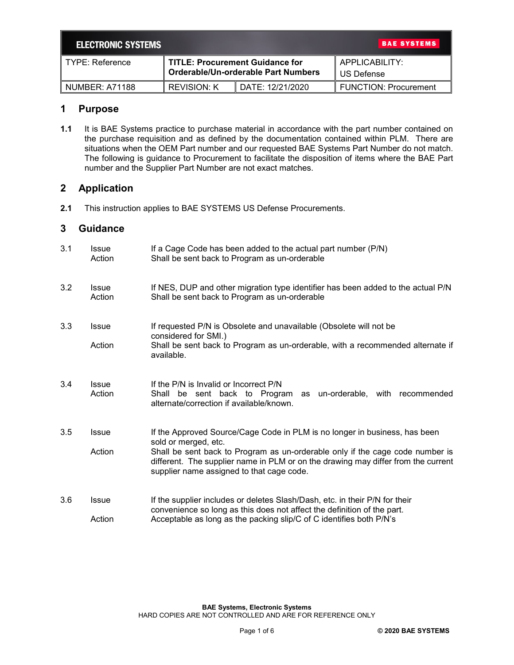| <b>BAE SYSTEMS</b><br><b>ELECTRONIC SYSTEMS</b> |                                                                               |                  |                              |  |  |
|-------------------------------------------------|-------------------------------------------------------------------------------|------------------|------------------------------|--|--|
| TYPE: Reference                                 | <b>TITLE: Procurement Guidance for</b><br>Orderable/Un-orderable Part Numbers |                  | APPLICABILITY:<br>US Defense |  |  |
| NUMBER: A71188                                  | <b>REVISION: K</b>                                                            | DATE: 12/21/2020 | <b>FUNCTION: Procurement</b> |  |  |

## **1 Purpose**

**1.1** It is BAE Systems practice to purchase material in accordance with the part number contained on the purchase requisition and as defined by the documentation contained within PLM. There are situations when the OEM Part number and our requested BAE Systems Part Number do not match. The following is guidance to Procurement to facilitate the disposition of items where the BAE Part number and the Supplier Part Number are not exact matches.

# **2 Application**

**2.1** This instruction applies to BAE SYSTEMS US Defense Procurements.

### **3 Guidance**

| 3.1 | Issue<br>Action        | If a Cage Code has been added to the actual part number (P/N)<br>Shall be sent back to Program as un-orderable                                                                                                                                                                                                        |
|-----|------------------------|-----------------------------------------------------------------------------------------------------------------------------------------------------------------------------------------------------------------------------------------------------------------------------------------------------------------------|
| 3.2 | <b>Issue</b><br>Action | If NES, DUP and other migration type identifier has been added to the actual P/N<br>Shall be sent back to Program as un-orderable                                                                                                                                                                                     |
| 3.3 | <b>Issue</b><br>Action | If requested P/N is Obsolete and unavailable (Obsolete will not be<br>considered for SMI.)<br>Shall be sent back to Program as un-orderable, with a recommended alternate if<br>available.                                                                                                                            |
| 3.4 | <b>Issue</b><br>Action | If the P/N is Invalid or Incorrect P/N<br>Shall be sent back to Program<br>un-orderable, with recommended<br>as<br>alternate/correction if available/known.                                                                                                                                                           |
| 3.5 | <b>Issue</b><br>Action | If the Approved Source/Cage Code in PLM is no longer in business, has been<br>sold or merged, etc.<br>Shall be sent back to Program as un-orderable only if the cage code number is<br>different. The supplier name in PLM or on the drawing may differ from the current<br>supplier name assigned to that cage code. |
| 3.6 | <b>Issue</b><br>Action | If the supplier includes or deletes Slash/Dash, etc. in their P/N for their<br>convenience so long as this does not affect the definition of the part.<br>Acceptable as long as the packing slip/C of C identifies both P/N's                                                                                         |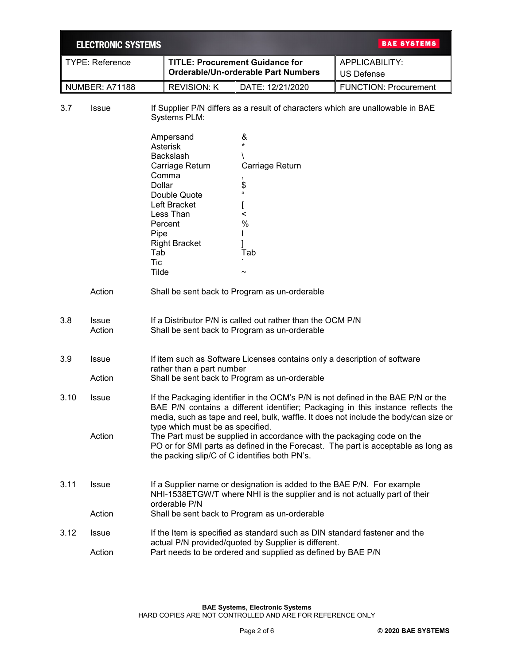|                        | <b>ELECTRONIC SYSTEMS</b> |                                                                                                                                                                                                                                                                                                                                                                                                                                                                                                                   |                                                                                                                                                       |                                                                                                                                                                                                       | <b>BAE SYSTEMS</b>                  |  |
|------------------------|---------------------------|-------------------------------------------------------------------------------------------------------------------------------------------------------------------------------------------------------------------------------------------------------------------------------------------------------------------------------------------------------------------------------------------------------------------------------------------------------------------------------------------------------------------|-------------------------------------------------------------------------------------------------------------------------------------------------------|-------------------------------------------------------------------------------------------------------------------------------------------------------------------------------------------------------|-------------------------------------|--|
| <b>TYPE: Reference</b> |                           |                                                                                                                                                                                                                                                                                                                                                                                                                                                                                                                   | <b>TITLE: Procurement Guidance for</b><br>Orderable/Un-orderable Part Numbers                                                                         |                                                                                                                                                                                                       | APPLICABILITY:<br><b>US Defense</b> |  |
|                        | NUMBER: A71188            |                                                                                                                                                                                                                                                                                                                                                                                                                                                                                                                   | <b>REVISION: K</b>                                                                                                                                    | DATE: 12/21/2020                                                                                                                                                                                      | <b>FUNCTION: Procurement</b>        |  |
| 3.7                    | Issue                     |                                                                                                                                                                                                                                                                                                                                                                                                                                                                                                                   | If Supplier P/N differs as a result of characters which are unallowable in BAE<br>Systems PLM:                                                        |                                                                                                                                                                                                       |                                     |  |
|                        |                           | <b>Dollar</b><br>Pipe<br>Tab<br><b>Tic</b><br>Tilde                                                                                                                                                                                                                                                                                                                                                                                                                                                               | Ampersand<br>Asterisk<br><b>Backslash</b><br>Carriage Return<br>Comma<br>Double Quote<br>Left Bracket<br>Less Than<br>Percent<br><b>Right Bracket</b> | &<br>Carriage Return<br>\$<br>$\mathbf{G}$<br><<br>%<br>Tab                                                                                                                                           |                                     |  |
|                        | Action                    |                                                                                                                                                                                                                                                                                                                                                                                                                                                                                                                   |                                                                                                                                                       | Shall be sent back to Program as un-orderable                                                                                                                                                         |                                     |  |
| 3.8                    | <b>Issue</b><br>Action    |                                                                                                                                                                                                                                                                                                                                                                                                                                                                                                                   |                                                                                                                                                       | If a Distributor P/N is called out rather than the OCM P/N<br>Shall be sent back to Program as un-orderable                                                                                           |                                     |  |
| 3.9                    | Issue<br>Action           | If item such as Software Licenses contains only a description of software<br>rather than a part number<br>Shall be sent back to Program as un-orderable                                                                                                                                                                                                                                                                                                                                                           |                                                                                                                                                       |                                                                                                                                                                                                       |                                     |  |
| 3.10                   | <b>Issue</b><br>Action    | If the Packaging identifier in the OCM's P/N is not defined in the BAE P/N or the<br>BAE P/N contains a different identifier; Packaging in this instance reflects the<br>media, such as tape and reel, bulk, waffle. It does not include the body/can size or<br>type which must be as specified.<br>The Part must be supplied in accordance with the packaging code on the<br>PO or for SMI parts as defined in the Forecast. The part is acceptable as long as<br>the packing slip/C of C identifies both PN's. |                                                                                                                                                       |                                                                                                                                                                                                       |                                     |  |
| 3.11                   | <b>Issue</b><br>Action    |                                                                                                                                                                                                                                                                                                                                                                                                                                                                                                                   | orderable P/N                                                                                                                                         | If a Supplier name or designation is added to the BAE P/N. For example<br>NHI-1538ETGW/T where NHI is the supplier and is not actually part of their<br>Shall be sent back to Program as un-orderable |                                     |  |
| 3.12                   | <b>Issue</b><br>Action    | If the Item is specified as standard such as DIN standard fastener and the<br>actual P/N provided/quoted by Supplier is different.<br>Part needs to be ordered and supplied as defined by BAE P/N                                                                                                                                                                                                                                                                                                                 |                                                                                                                                                       |                                                                                                                                                                                                       |                                     |  |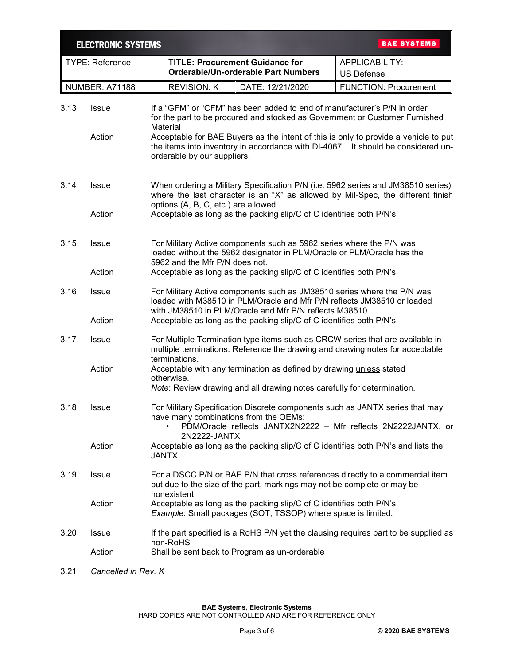|      | <b>ELECTRONIC SYSTEMS</b> |                                                                                                                                                                                                                                                                                                                |                    |                                                                               | <b>BAE SYSTEMS</b>                                                                   |  |
|------|---------------------------|----------------------------------------------------------------------------------------------------------------------------------------------------------------------------------------------------------------------------------------------------------------------------------------------------------------|--------------------|-------------------------------------------------------------------------------|--------------------------------------------------------------------------------------|--|
|      | <b>TYPE: Reference</b>    |                                                                                                                                                                                                                                                                                                                |                    | <b>TITLE: Procurement Guidance for</b><br>Orderable/Un-orderable Part Numbers | APPLICABILITY:<br><b>US Defense</b>                                                  |  |
|      | <b>NUMBER: A71188</b>     |                                                                                                                                                                                                                                                                                                                | <b>REVISION: K</b> | DATE: 12/21/2020                                                              | <b>FUNCTION: Procurement</b>                                                         |  |
| 3.13 | <b>Issue</b>              | If a "GFM" or "CFM" has been added to end of manufacturer's P/N in order<br>for the part to be procured and stocked as Government or Customer Furnished<br>Material                                                                                                                                            |                    |                                                                               |                                                                                      |  |
|      | Action                    | Acceptable for BAE Buyers as the intent of this is only to provide a vehicle to put<br>the items into inventory in accordance with DI-4067. It should be considered un-<br>orderable by our suppliers.                                                                                                         |                    |                                                                               |                                                                                      |  |
| 3.14 | <b>Issue</b>              | When ordering a Military Specification P/N (i.e. 5962 series and JM38510 series)<br>where the last character is an "X" as allowed by Mil-Spec, the different finish<br>options (A, B, C, etc.) are allowed.                                                                                                    |                    |                                                                               |                                                                                      |  |
|      | Action                    |                                                                                                                                                                                                                                                                                                                |                    | Acceptable as long as the packing slip/C of C identifies both P/N's           |                                                                                      |  |
| 3.15 | <b>Issue</b>              | For Military Active components such as 5962 series where the P/N was<br>loaded without the 5962 designator in PLM/Oracle or PLM/Oracle has the<br>5962 and the Mfr P/N does not.                                                                                                                               |                    |                                                                               |                                                                                      |  |
|      | Action                    | Acceptable as long as the packing slip/C of C identifies both P/N's                                                                                                                                                                                                                                            |                    |                                                                               |                                                                                      |  |
| 3.16 | <b>Issue</b>              | For Military Active components such as JM38510 series where the P/N was<br>loaded with M38510 in PLM/Oracle and Mfr P/N reflects JM38510 or loaded<br>with JM38510 in PLM/Oracle and Mfr P/N reflects M38510.                                                                                                  |                    |                                                                               |                                                                                      |  |
|      | Action                    | Acceptable as long as the packing slip/C of C identifies both P/N's                                                                                                                                                                                                                                            |                    |                                                                               |                                                                                      |  |
| 3.17 | <b>Issue</b>              | For Multiple Termination type items such as CRCW series that are available in<br>multiple terminations. Reference the drawing and drawing notes for acceptable<br>terminations.                                                                                                                                |                    |                                                                               |                                                                                      |  |
|      | Action                    | Acceptable with any termination as defined by drawing unless stated<br>otherwise.<br>Note: Review drawing and all drawing notes carefully for determination.                                                                                                                                                   |                    |                                                                               |                                                                                      |  |
| 3.18 | <b>Issue</b>              | For Military Specification Discrete components such as JANTX series that may<br>have many combinations from the OEMs:<br>PDM/Oracle reflects JANTX2N2222 - Mfr reflects 2N2222JANTX, or                                                                                                                        |                    |                                                                               |                                                                                      |  |
|      | Action                    | 2N2222-JANTX<br>Acceptable as long as the packing slip/C of C identifies both P/N's and lists the<br><b>JANTX</b>                                                                                                                                                                                              |                    |                                                                               |                                                                                      |  |
| 3.19 | <b>Issue</b>              | For a DSCC P/N or BAE P/N that cross references directly to a commercial item<br>but due to the size of the part, markings may not be complete or may be<br>nonexistent<br>Acceptable as long as the packing slip/C of C identifies both P/N's<br>Example: Small packages (SOT, TSSOP) where space is limited. |                    |                                                                               |                                                                                      |  |
|      | Action                    |                                                                                                                                                                                                                                                                                                                |                    |                                                                               |                                                                                      |  |
| 3.20 | <b>Issue</b>              |                                                                                                                                                                                                                                                                                                                | non-RoHS           |                                                                               | If the part specified is a RoHS P/N yet the clausing requires part to be supplied as |  |
|      | Action                    | Shall be sent back to Program as un-orderable                                                                                                                                                                                                                                                                  |                    |                                                                               |                                                                                      |  |

3.21 *Cancelled in Rev. K*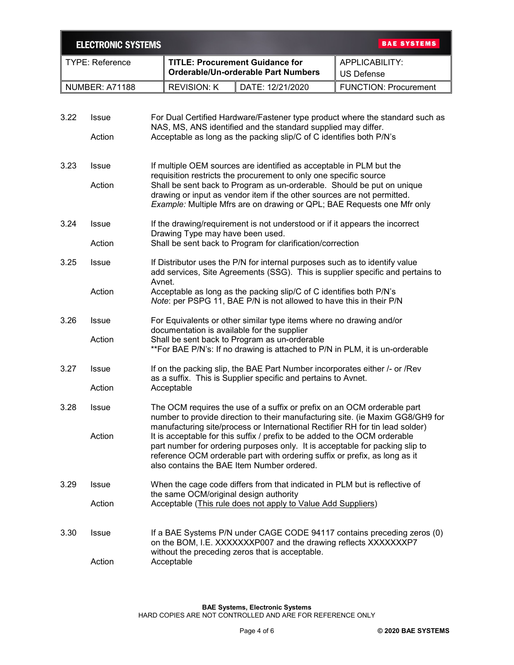|      | <b>BAE SYSTEMS</b><br><b>ELECTRONIC SYSTEMS</b>        |                                                                                                                                                                                                                                                                                                                                                                         |                                                                               |                                                                              |  |  |
|------|--------------------------------------------------------|-------------------------------------------------------------------------------------------------------------------------------------------------------------------------------------------------------------------------------------------------------------------------------------------------------------------------------------------------------------------------|-------------------------------------------------------------------------------|------------------------------------------------------------------------------|--|--|
|      | <b>TYPE: Reference</b>                                 |                                                                                                                                                                                                                                                                                                                                                                         | <b>TITLE: Procurement Guidance for</b><br>Orderable/Un-orderable Part Numbers | APPLICABILITY:<br><b>US Defense</b>                                          |  |  |
|      | NUMBER: A71188                                         | <b>REVISION: K</b>                                                                                                                                                                                                                                                                                                                                                      | DATE: 12/21/2020                                                              | <b>FUNCTION: Procurement</b>                                                 |  |  |
|      |                                                        |                                                                                                                                                                                                                                                                                                                                                                         |                                                                               |                                                                              |  |  |
| 3.22 | <b>Issue</b>                                           |                                                                                                                                                                                                                                                                                                                                                                         | NAS, MS, ANS identified and the standard supplied may differ.                 | For Dual Certified Hardware/Fastener type product where the standard such as |  |  |
|      | Action                                                 | Acceptable as long as the packing slip/C of C identifies both P/N's                                                                                                                                                                                                                                                                                                     |                                                                               |                                                                              |  |  |
| 3.23 | <b>Issue</b>                                           | If multiple OEM sources are identified as acceptable in PLM but the<br>requisition restricts the procurement to only one specific source                                                                                                                                                                                                                                |                                                                               |                                                                              |  |  |
|      | Action                                                 | Shall be sent back to Program as un-orderable. Should be put on unique<br>drawing or input as vendor item if the other sources are not permitted.<br>Example: Multiple Mfrs are on drawing or QPL; BAE Requests one Mfr only                                                                                                                                            |                                                                               |                                                                              |  |  |
| 3.24 | Issue                                                  | Drawing Type may have been used.                                                                                                                                                                                                                                                                                                                                        | If the drawing/requirement is not understood or if it appears the incorrect   |                                                                              |  |  |
|      | Action                                                 |                                                                                                                                                                                                                                                                                                                                                                         | Shall be sent back to Program for clarification/correction                    |                                                                              |  |  |
| 3.25 | <b>Issue</b>                                           | If Distributor uses the P/N for internal purposes such as to identify value<br>add services, Site Agreements (SSG). This is supplier specific and pertains to                                                                                                                                                                                                           |                                                                               |                                                                              |  |  |
|      | Action                                                 | Avnet.<br>Acceptable as long as the packing slip/C of C identifies both P/N's<br>Note: per PSPG 11, BAE P/N is not allowed to have this in their P/N                                                                                                                                                                                                                    |                                                                               |                                                                              |  |  |
| 3.26 | <b>Issue</b>                                           | For Equivalents or other similar type items where no drawing and/or<br>documentation is available for the supplier                                                                                                                                                                                                                                                      |                                                                               |                                                                              |  |  |
|      | Action                                                 | Shall be sent back to Program as un-orderable<br>**For BAE P/N's: If no drawing is attached to P/N in PLM, it is un-orderable                                                                                                                                                                                                                                           |                                                                               |                                                                              |  |  |
| 3.27 | <b>Issue</b>                                           | If on the packing slip, the BAE Part Number incorporates either /- or / Rev<br>as a suffix. This is Supplier specific and pertains to Avnet.                                                                                                                                                                                                                            |                                                                               |                                                                              |  |  |
|      | Action                                                 | Acceptable                                                                                                                                                                                                                                                                                                                                                              |                                                                               |                                                                              |  |  |
| 3.28 | Issue                                                  | The OCM requires the use of a suffix or prefix on an OCM orderable part<br>number to provide direction to their manufacturing site. (ie Maxim GG8/GH9 for                                                                                                                                                                                                               |                                                                               |                                                                              |  |  |
|      | Action                                                 | manufacturing site/process or International Rectifier RH for tin lead solder)<br>It is acceptable for this suffix / prefix to be added to the OCM orderable<br>part number for ordering purposes only. It is acceptable for packing slip to<br>reference OCM orderable part with ordering suffix or prefix, as long as it<br>also contains the BAE Item Number ordered. |                                                                               |                                                                              |  |  |
| 3.29 | <b>Issue</b><br>the same OCM/original design authority |                                                                                                                                                                                                                                                                                                                                                                         | When the cage code differs from that indicated in PLM but is reflective of    |                                                                              |  |  |
|      | Action                                                 |                                                                                                                                                                                                                                                                                                                                                                         | Acceptable (This rule does not apply to Value Add Suppliers)                  |                                                                              |  |  |
| 3.30 | <b>Issue</b>                                           | If a BAE Systems P/N under CAGE CODE 94117 contains preceding zeros (0)<br>on the BOM, I.E. XXXXXXXP007 and the drawing reflects XXXXXXXP7<br>without the preceding zeros that is acceptable.                                                                                                                                                                           |                                                                               |                                                                              |  |  |
|      | Action                                                 | Acceptable                                                                                                                                                                                                                                                                                                                                                              |                                                                               |                                                                              |  |  |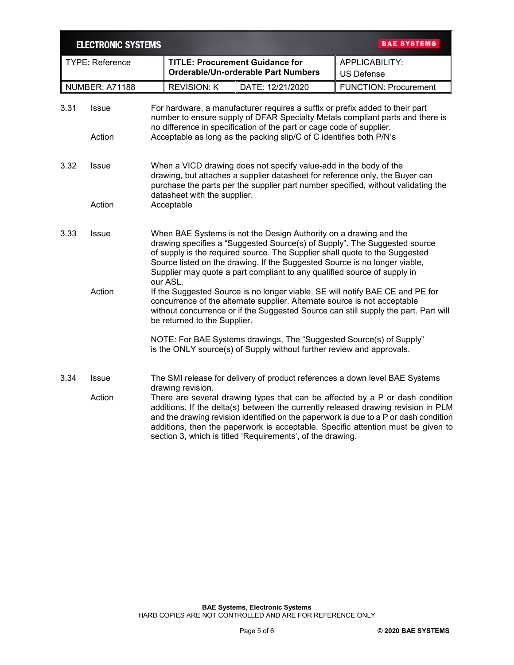|                        | <b>ELECTRONIC SYSTEMS</b> |                                                                                                                                                                                                                                                                                                                                                                                                                                               |                                                                               |                  | <b>BAE SYSTEMS</b>                                                          |  |
|------------------------|---------------------------|-----------------------------------------------------------------------------------------------------------------------------------------------------------------------------------------------------------------------------------------------------------------------------------------------------------------------------------------------------------------------------------------------------------------------------------------------|-------------------------------------------------------------------------------|------------------|-----------------------------------------------------------------------------|--|
| <b>TYPE: Reference</b> |                           |                                                                                                                                                                                                                                                                                                                                                                                                                                               | <b>TITLE: Procurement Guidance for</b><br>Orderable/Un-orderable Part Numbers |                  | APPLICABILITY:<br><b>US Defense</b>                                         |  |
|                        | <b>NUMBER: A71188</b>     |                                                                                                                                                                                                                                                                                                                                                                                                                                               | <b>REVISION: K</b>                                                            | DATE: 12/21/2020 | <b>FUNCTION: Procurement</b>                                                |  |
| 3.31                   | <b>Issue</b>              | For hardware, a manufacturer requires a suffix or prefix added to their part<br>number to ensure supply of DFAR Specialty Metals compliant parts and there is<br>no difference in specification of the part or cage code of supplier.<br>Acceptable as long as the packing slip/C of C identifies both P/N's                                                                                                                                  |                                                                               |                  |                                                                             |  |
|                        | Action                    |                                                                                                                                                                                                                                                                                                                                                                                                                                               |                                                                               |                  |                                                                             |  |
| 3.32                   | <b>Issue</b>              | When a VICD drawing does not specify value-add in the body of the<br>drawing, but attaches a supplier datasheet for reference only, the Buyer can<br>purchase the parts per the supplier part number specified, without validating the                                                                                                                                                                                                        |                                                                               |                  |                                                                             |  |
|                        | Action                    | datasheet with the supplier.<br>Acceptable                                                                                                                                                                                                                                                                                                                                                                                                    |                                                                               |                  |                                                                             |  |
| 3.33                   | <b>Issue</b>              | When BAE Systems is not the Design Authority on a drawing and the<br>drawing specifies a "Suggested Source(s) of Supply". The Suggested source<br>of supply is the required source. The Supplier shall quote to the Suggested<br>Source listed on the drawing. If the Suggested Source is no longer viable,<br>Supplier may quote a part compliant to any qualified source of supply in                                                       |                                                                               |                  |                                                                             |  |
|                        | Action                    | our ASL.<br>If the Suggested Source is no longer viable, SE will notify BAE CE and PE for<br>concurrence of the alternate supplier. Alternate source is not acceptable<br>without concurrence or if the Suggested Source can still supply the part. Part will<br>be returned to the Supplier.<br>NOTE: For BAE Systems drawings, The "Suggested Source(s) of Supply"<br>is the ONLY source(s) of Supply without further review and approvals. |                                                                               |                  |                                                                             |  |
|                        |                           |                                                                                                                                                                                                                                                                                                                                                                                                                                               |                                                                               |                  |                                                                             |  |
| 3.34                   | <b>Issue</b>              |                                                                                                                                                                                                                                                                                                                                                                                                                                               | drawing revision.                                                             |                  | The SMI release for delivery of product references a down level BAE Systems |  |
|                        | Action                    | There are several drawing types that can be affected by a P or dash condition<br>additions. If the delta(s) between the currently released drawing revision in PLM<br>and the drawing revision identified on the paperwork is due to a P or dash condition<br>additions, then the paperwork is acceptable. Specific attention must be given to<br>section 3, which is titled 'Requirements', of the drawing.                                  |                                                                               |                  |                                                                             |  |